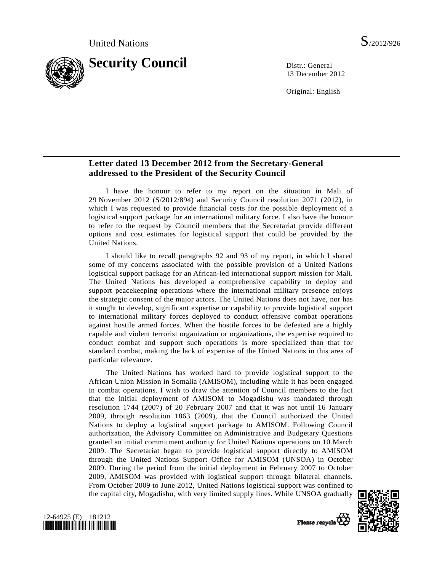

13 December 2012

Original: English

## **Letter dated 13 December 2012 from the Secretary-General addressed to the President of the Security Council**

 I have the honour to refer to my report on the situation in Mali of 29 November 2012 (S/2012/894) and Security Council resolution 2071 (2012), in which I was requested to provide financial costs for the possible deployment of a logistical support package for an international military force. I also have the honour to refer to the request by Council members that the Secretariat provide different options and cost estimates for logistical support that could be provided by the United Nations.

 I should like to recall paragraphs 92 and 93 of my report, in which I shared some of my concerns associated with the possible provision of a United Nations logistical support package for an African-led international support mission for Mali. The United Nations has developed a comprehensive capability to deploy and support peacekeeping operations where the international military presence enjoys the strategic consent of the major actors. The United Nations does not have, nor has it sought to develop, significant expertise or capability to provide logistical support to international military forces deployed to conduct offensive combat operations against hostile armed forces. When the hostile forces to be defeated are a highly capable and violent terrorist organization or organizations, the expertise required to conduct combat and support such operations is more specialized than that for standard combat, making the lack of expertise of the United Nations in this area of particular relevance.

 The United Nations has worked hard to provide logistical support to the African Union Mission in Somalia (AMISOM), including while it has been engaged in combat operations. I wish to draw the attention of Council members to the fact that the initial deployment of AMISOM to Mogadishu was mandated through resolution 1744 (2007) of 20 February 2007 and that it was not until 16 January 2009, through resolution 1863 (2009), that the Council authorized the United Nations to deploy a logistical support package to AMISOM. Following Council authorization, the Advisory Committee on Administrative and Budgetary Questions granted an initial commitment authority for United Nations operations on 10 March 2009. The Secretariat began to provide logistical support directly to AMISOM through the United Nations Support Office for AMISOM (UNSOA) in October 2009. During the period from the initial deployment in February 2007 to October 2009, AMISOM was provided with logistical support through bilateral channels. From October 2009 to June 2012, United Nations logistical support was confined to the capital city, Mogadishu, with very limited supply lines. While UNSOA gradually





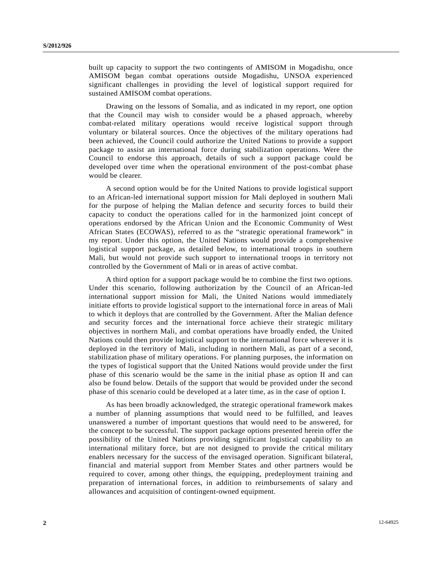built up capacity to support the two contingents of AMISOM in Mogadishu, once AMISOM began combat operations outside Mogadishu, UNSOA experienced significant challenges in providing the level of logistical support required for sustained AMISOM combat operations.

 Drawing on the lessons of Somalia, and as indicated in my report, one option that the Council may wish to consider would be a phased approach, whereby combat-related military operations would receive logistical support through voluntary or bilateral sources. Once the objectives of the military operations had been achieved, the Council could authorize the United Nations to provide a support package to assist an international force during stabilization operations. Were the Council to endorse this approach, details of such a support package could be developed over time when the operational environment of the post-combat phase would be clearer.

 A second option would be for the United Nations to provide logistical support to an African-led international support mission for Mali deployed in southern Mali for the purpose of helping the Malian defence and security forces to build their capacity to conduct the operations called for in the harmonized joint concept of operations endorsed by the African Union and the Economic Community of West African States (ECOWAS), referred to as the "strategic operational framework" in my report. Under this option, the United Nations would provide a comprehensive logistical support package, as detailed below, to international troops in southern Mali, but would not provide such support to international troops in territory not controlled by the Government of Mali or in areas of active combat.

 A third option for a support package would be to combine the first two options. Under this scenario, following authorization by the Council of an African-led international support mission for Mali, the United Nations would immediately initiate efforts to provide logistical support to the international force in areas of Mali to which it deploys that are controlled by the Government. After the Malian defence and security forces and the international force achieve their strategic military objectives in northern Mali, and combat operations have broadly ended, the United Nations could then provide logistical support to the international force wherever it is deployed in the territory of Mali, including in northern Mali, as part of a second, stabilization phase of military operations. For planning purposes, the information on the types of logistical support that the United Nations would provide under the first phase of this scenario would be the same in the initial phase as option II and can also be found below. Details of the support that would be provided under the second phase of this scenario could be developed at a later time, as in the case of option I.

 As has been broadly acknowledged, the strategic operational framework makes a number of planning assumptions that would need to be fulfilled, and leaves unanswered a number of important questions that would need to be answered, for the concept to be successful. The support package options presented herein offer the possibility of the United Nations providing significant logistical capability to an international military force, but are not designed to provide the critical military enablers necessary for the success of the envisaged operation. Significant bilateral, financial and material support from Member States and other partners would be required to cover, among other things, the equipping, predeployment training and preparation of international forces, in addition to reimbursements of salary and allowances and acquisition of contingent-owned equipment.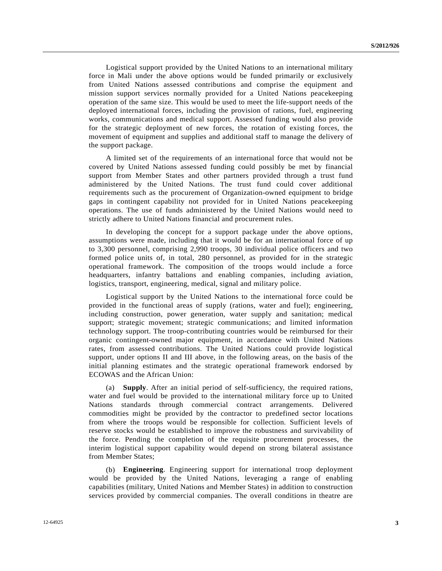Logistical support provided by the United Nations to an international military force in Mali under the above options would be funded primarily or exclusively from United Nations assessed contributions and comprise the equipment and mission support services normally provided for a United Nations peacekeeping operation of the same size. This would be used to meet the life-support needs of the deployed international forces, including the provision of rations, fuel, engineering works, communications and medical support. Assessed funding would also provide for the strategic deployment of new forces, the rotation of existing forces, the movement of equipment and supplies and additional staff to manage the delivery of the support package.

 A limited set of the requirements of an international force that would not be covered by United Nations assessed funding could possibly be met by financial support from Member States and other partners provided through a trust fund administered by the United Nations. The trust fund could cover additional requirements such as the procurement of Organization-owned equipment to bridge gaps in contingent capability not provided for in United Nations peacekeeping operations. The use of funds administered by the United Nations would need to strictly adhere to United Nations financial and procurement rules.

 In developing the concept for a support package under the above options, assumptions were made, including that it would be for an international force of up to 3,300 personnel, comprising 2,990 troops, 30 individual police officers and two formed police units of, in total, 280 personnel, as provided for in the strategic operational framework. The composition of the troops would include a force headquarters, infantry battalions and enabling companies, including aviation, logistics, transport, engineering, medical, signal and military police.

 Logistical support by the United Nations to the international force could be provided in the functional areas of supply (rations, water and fuel); engineering, including construction, power generation, water supply and sanitation; medical support; strategic movement; strategic communications; and limited information technology support. The troop-contributing countries would be reimbursed for their organic contingent-owned major equipment, in accordance with United Nations rates, from assessed contributions. The United Nations could provide logistical support, under options II and III above, in the following areas, on the basis of the initial planning estimates and the strategic operational framework endorsed by ECOWAS and the African Union:

 (a) **Supply**. After an initial period of self-sufficiency, the required rations, water and fuel would be provided to the international military force up to United Nations standards through commercial contract arrangements. Delivered commodities might be provided by the contractor to predefined sector locations from where the troops would be responsible for collection. Sufficient levels of reserve stocks would be established to improve the robustness and survivability of the force. Pending the completion of the requisite procurement processes, the interim logistical support capability would depend on strong bilateral assistance from Member States;

 (b) **Engineering**. Engineering support for international troop deployment would be provided by the United Nations, leveraging a range of enabling capabilities (military, United Nations and Member States) in addition to construction services provided by commercial companies. The overall conditions in theatre are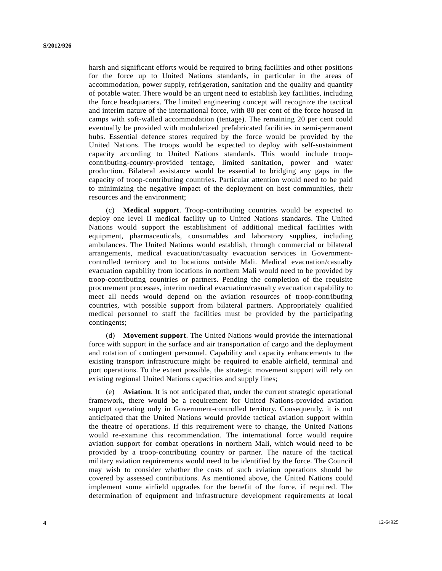harsh and significant efforts would be required to bring facilities and other positions for the force up to United Nations standards, in particular in the areas of accommodation, power supply, refrigeration, sanitation and the quality and quantity of potable water. There would be an urgent need to establish key facilities, including the force headquarters. The limited engineering concept will recognize the tactical and interim nature of the international force, with 80 per cent of the force housed in camps with soft-walled accommodation (tentage). The remaining 20 per cent could eventually be provided with modularized prefabricated facilities in semi-permanent hubs. Essential defence stores required by the force would be provided by the United Nations. The troops would be expected to deploy with self-sustainment capacity according to United Nations standards. This would include troopcontributing-country-provided tentage, limited sanitation, power and water production. Bilateral assistance would be essential to bridging any gaps in the capacity of troop-contributing countries. Particular attention would need to be paid to minimizing the negative impact of the deployment on host communities, their resources and the environment;

 (c) **Medical support**. Troop-contributing countries would be expected to deploy one level II medical facility up to United Nations standards. The United Nations would support the establishment of additional medical facilities with equipment, pharmaceuticals, consumables and laboratory supplies, including ambulances. The United Nations would establish, through commercial or bilateral arrangements, medical evacuation/casualty evacuation services in Governmentcontrolled territory and to locations outside Mali. Medical evacuation/casualty evacuation capability from locations in northern Mali would need to be provided by troop-contributing countries or partners. Pending the completion of the requisite procurement processes, interim medical evacuation/casualty evacuation capability to meet all needs would depend on the aviation resources of troop-contributing countries, with possible support from bilateral partners. Appropriately qualified medical personnel to staff the facilities must be provided by the participating contingents;

 (d) **Movement support**. The United Nations would provide the international force with support in the surface and air transportation of cargo and the deployment and rotation of contingent personnel. Capability and capacity enhancements to the existing transport infrastructure might be required to enable airfield, terminal and port operations. To the extent possible, the strategic movement support will rely on existing regional United Nations capacities and supply lines;

 (e) **Aviation**. It is not anticipated that, under the current strategic operational framework, there would be a requirement for United Nations-provided aviation support operating only in Government-controlled territory. Consequently, it is not anticipated that the United Nations would provide tactical aviation support within the theatre of operations. If this requirement were to change, the United Nations would re-examine this recommendation. The international force would require aviation support for combat operations in northern Mali, which would need to be provided by a troop-contributing country or partner. The nature of the tactical military aviation requirements would need to be identified by the force. The Council may wish to consider whether the costs of such aviation operations should be covered by assessed contributions. As mentioned above, the United Nations could implement some airfield upgrades for the benefit of the force, if required. The determination of equipment and infrastructure development requirements at local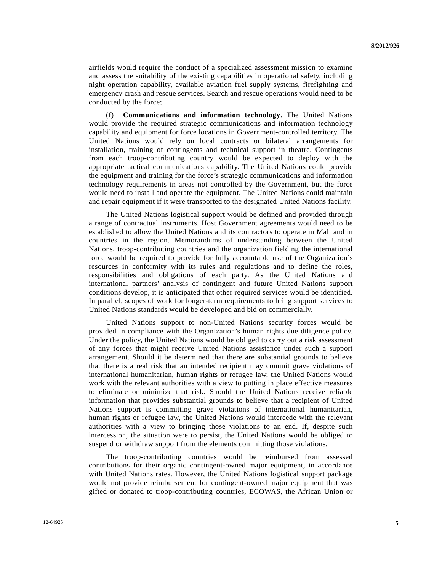airfields would require the conduct of a specialized assessment mission to examine and assess the suitability of the existing capabilities in operational safety, including night operation capability, available aviation fuel supply systems, firefighting and emergency crash and rescue services. Search and rescue operations would need to be conducted by the force;

 (f) **Communications and information technology**. The United Nations would provide the required strategic communications and information technology capability and equipment for force locations in Government-controlled territory. The United Nations would rely on local contracts or bilateral arrangements for installation, training of contingents and technical support in theatre. Contingents from each troop-contributing country would be expected to deploy with the appropriate tactical communications capability. The United Nations could provide the equipment and training for the force's strategic communications and information technology requirements in areas not controlled by the Government, but the force would need to install and operate the equipment. The United Nations could maintain and repair equipment if it were transported to the designated United Nations facility.

 The United Nations logistical support would be defined and provided through a range of contractual instruments. Host Government agreements would need to be established to allow the United Nations and its contractors to operate in Mali and in countries in the region. Memorandums of understanding between the United Nations, troop-contributing countries and the organization fielding the international force would be required to provide for fully accountable use of the Organization's resources in conformity with its rules and regulations and to define the roles, responsibilities and obligations of each party. As the United Nations and international partners' analysis of contingent and future United Nations support conditions develop, it is anticipated that other required services would be identified. In parallel, scopes of work for longer-term requirements to bring support services to United Nations standards would be developed and bid on commercially.

 United Nations support to non-United Nations security forces would be provided in compliance with the Organization's human rights due diligence policy. Under the policy, the United Nations would be obliged to carry out a risk assessment of any forces that might receive United Nations assistance under such a support arrangement. Should it be determined that there are substantial grounds to believe that there is a real risk that an intended recipient may commit grave violations of international humanitarian, human rights or refugee law, the United Nations would work with the relevant authorities with a view to putting in place effective measures to eliminate or minimize that risk. Should the United Nations receive reliable information that provides substantial grounds to believe that a recipient of United Nations support is committing grave violations of international humanitarian, human rights or refugee law, the United Nations would intercede with the relevant authorities with a view to bringing those violations to an end. If, despite such intercession, the situation were to persist, the United Nations would be obliged to suspend or withdraw support from the elements committing those violations.

 The troop-contributing countries would be reimbursed from assessed contributions for their organic contingent-owned major equipment, in accordance with United Nations rates. However, the United Nations logistical support package would not provide reimbursement for contingent-owned major equipment that was gifted or donated to troop-contributing countries, ECOWAS, the African Union or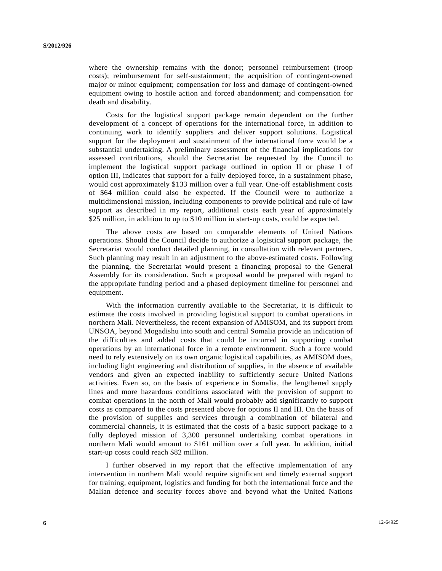where the ownership remains with the donor; personnel reimbursement (troop costs); reimbursement for self-sustainment; the acquisition of contingent-owned major or minor equipment; compensation for loss and damage of contingent-owned equipment owing to hostile action and forced abandonment; and compensation for death and disability.

 Costs for the logistical support package remain dependent on the further development of a concept of operations for the international force, in addition to continuing work to identify suppliers and deliver support solutions. Logistical support for the deployment and sustainment of the international force would be a substantial undertaking. A preliminary assessment of the financial implications for assessed contributions, should the Secretariat be requested by the Council to implement the logistical support package outlined in option II or phase I of option III, indicates that support for a fully deployed force, in a sustainment phase, would cost approximately \$133 million over a full year. One-off establishment costs of \$64 million could also be expected. If the Council were to authorize a multidimensional mission, including components to provide political and rule of law support as described in my report, additional costs each year of approximately \$25 million, in addition to up to \$10 million in start-up costs, could be expected.

 The above costs are based on comparable elements of United Nations operations. Should the Council decide to authorize a logistical support package, the Secretariat would conduct detailed planning, in consultation with relevant partners. Such planning may result in an adjustment to the above-estimated costs. Following the planning, the Secretariat would present a financing proposal to the General Assembly for its consideration. Such a proposal would be prepared with regard to the appropriate funding period and a phased deployment timeline for personnel and equipment.

 With the information currently available to the Secretariat, it is difficult to estimate the costs involved in providing logistical support to combat operations in northern Mali. Nevertheless, the recent expansion of AMISOM, and its support from UNSOA, beyond Mogadishu into south and central Somalia provide an indication of the difficulties and added costs that could be incurred in supporting combat operations by an international force in a remote environment. Such a force would need to rely extensively on its own organic logistical capabilities, as AMISOM does, including light engineering and distribution of supplies, in the absence of available vendors and given an expected inability to sufficiently secure United Nations activities. Even so, on the basis of experience in Somalia, the lengthened supply lines and more hazardous conditions associated with the provision of support to combat operations in the north of Mali would probably add significantly to support costs as compared to the costs presented above for options II and III. On the basis of the provision of supplies and services through a combination of bilateral and commercial channels, it is estimated that the costs of a basic support package to a fully deployed mission of 3,300 personnel undertaking combat operations in northern Mali would amount to \$161 million over a full year. In addition, initial start-up costs could reach \$82 million.

 I further observed in my report that the effective implementation of any intervention in northern Mali would require significant and timely external support for training, equipment, logistics and funding for both the international force and the Malian defence and security forces above and beyond what the United Nations